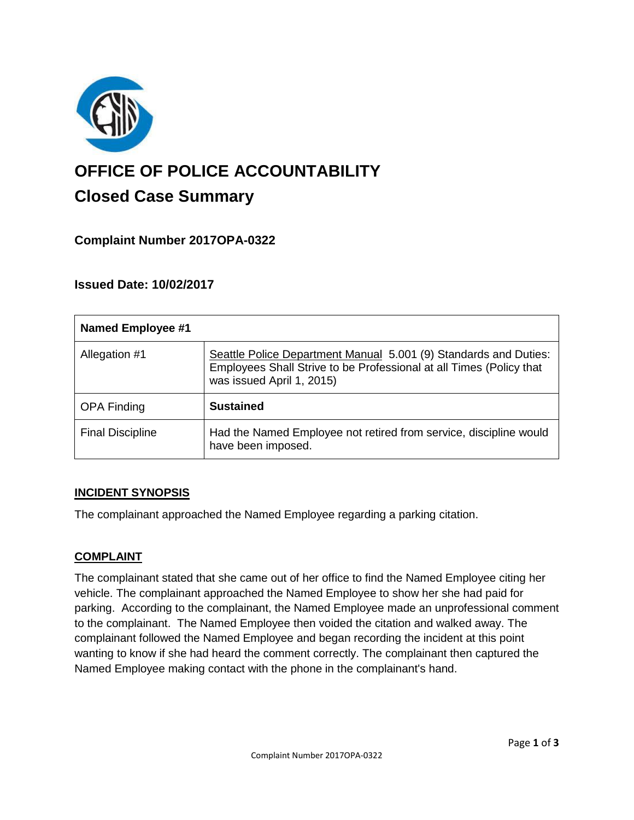

# **OFFICE OF POLICE ACCOUNTABILITY**

# **Closed Case Summary**

## **Complaint Number 2017OPA-0322**

### **Issued Date: 10/02/2017**

| <b>Named Employee #1</b> |                                                                                                                                                                      |
|--------------------------|----------------------------------------------------------------------------------------------------------------------------------------------------------------------|
| Allegation #1            | Seattle Police Department Manual 5.001 (9) Standards and Duties:<br>Employees Shall Strive to be Professional at all Times (Policy that<br>was issued April 1, 2015) |
| <b>OPA Finding</b>       | <b>Sustained</b>                                                                                                                                                     |
| <b>Final Discipline</b>  | Had the Named Employee not retired from service, discipline would<br>have been imposed.                                                                              |

#### **INCIDENT SYNOPSIS**

The complainant approached the Named Employee regarding a parking citation.

#### **COMPLAINT**

The complainant stated that she came out of her office to find the Named Employee citing her vehicle. The complainant approached the Named Employee to show her she had paid for parking. According to the complainant, the Named Employee made an unprofessional comment to the complainant. The Named Employee then voided the citation and walked away. The complainant followed the Named Employee and began recording the incident at this point wanting to know if she had heard the comment correctly. The complainant then captured the Named Employee making contact with the phone in the complainant's hand.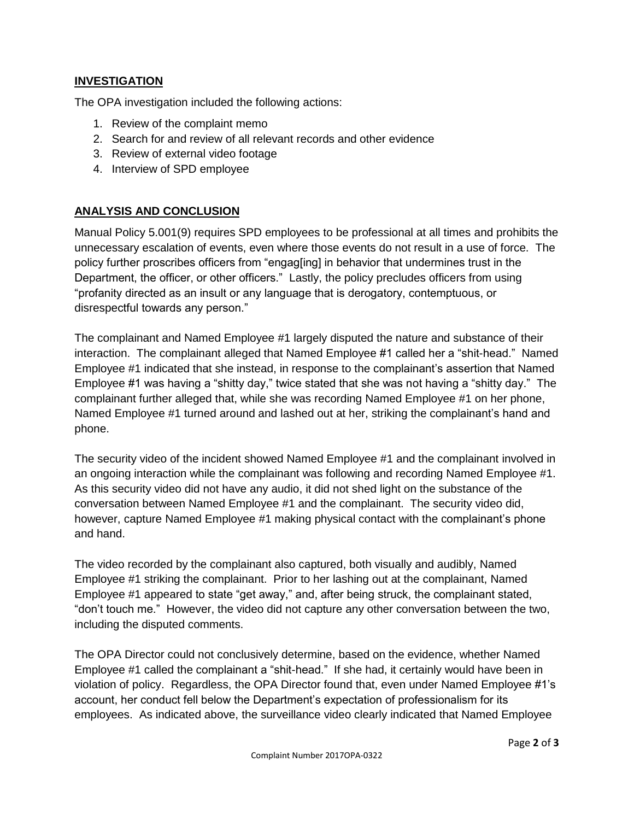#### **INVESTIGATION**

The OPA investigation included the following actions:

- 1. Review of the complaint memo
- 2. Search for and review of all relevant records and other evidence
- 3. Review of external video footage
- 4. Interview of SPD employee

#### **ANALYSIS AND CONCLUSION**

Manual Policy 5.001(9) requires SPD employees to be professional at all times and prohibits the unnecessary escalation of events, even where those events do not result in a use of force. The policy further proscribes officers from "engag[ing] in behavior that undermines trust in the Department, the officer, or other officers." Lastly, the policy precludes officers from using "profanity directed as an insult or any language that is derogatory, contemptuous, or disrespectful towards any person."

The complainant and Named Employee #1 largely disputed the nature and substance of their interaction. The complainant alleged that Named Employee #1 called her a "shit-head." Named Employee #1 indicated that she instead, in response to the complainant's assertion that Named Employee #1 was having a "shitty day," twice stated that she was not having a "shitty day." The complainant further alleged that, while she was recording Named Employee #1 on her phone, Named Employee #1 turned around and lashed out at her, striking the complainant's hand and phone.

The security video of the incident showed Named Employee #1 and the complainant involved in an ongoing interaction while the complainant was following and recording Named Employee #1. As this security video did not have any audio, it did not shed light on the substance of the conversation between Named Employee #1 and the complainant. The security video did, however, capture Named Employee #1 making physical contact with the complainant's phone and hand.

The video recorded by the complainant also captured, both visually and audibly, Named Employee #1 striking the complainant. Prior to her lashing out at the complainant, Named Employee #1 appeared to state "get away," and, after being struck, the complainant stated, "don't touch me." However, the video did not capture any other conversation between the two, including the disputed comments.

The OPA Director could not conclusively determine, based on the evidence, whether Named Employee #1 called the complainant a "shit-head." If she had, it certainly would have been in violation of policy. Regardless, the OPA Director found that, even under Named Employee #1's account, her conduct fell below the Department's expectation of professionalism for its employees. As indicated above, the surveillance video clearly indicated that Named Employee